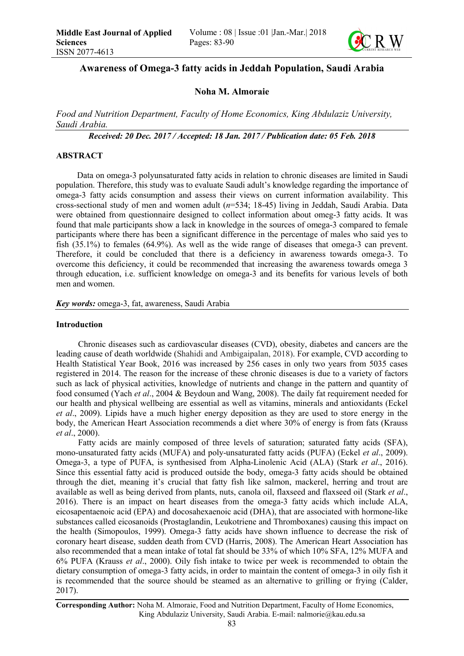

# Awareness of Omega-3 fatty acids in Jeddah Population, Saudi Arabia

# Noha M. Almoraie

*Food and Nutrition Department, Faculty of Home Economics, King Abdulaziz University, Saudi Arabia.*

*Received: 20 Dec. 2017 / Accepted: 18 Jan. 2017 / Publication date: 05 Feb. 2018*

# ABSTRACT

Data on omega-3 polyunsaturated fatty acids in relation to chronic diseases are limited in Saudi population. Therefore, this study was to evaluate Saudi adult's knowledge regarding the importance of omega-3 fatty acids consumption and assess their views on current information availability. This cross-sectional study of men and women adult (*n*=534; 18-45) living in Jeddah, Saudi Arabia. Data were obtained from questionnaire designed to collect information about omeg-3 fatty acids. It was found that male participants show a lack in knowledge in the sources of omega-3 compared to female participants where there has been a significant difference in the percentage of males who said yes to fish (35.1%) to females (64.9%). As well as the wide range of diseases that omega-3 can prevent. Therefore, it could be concluded that there is a deficiency in awareness towards omega-3. To overcome this deficiency, it could be recommended that increasing the awareness towards omega 3 through education, i.e. sufficient knowledge on omega-3 and its benefits for various levels of both men and women.

*Key words:* omega-3, fat, awareness, Saudi Arabia

#### Introduction

Chronic diseases such as cardiovascular diseases (CVD), obesity, diabetes and cancers are the leading cause of death worldwide (Shahidi and Ambigaipalan, 2018). For example, CVD according to Health Statistical Year Book, 2016 was increased by 256 cases in only two years from 5035 cases registered in 2014. The reason for the increase of these chronic diseases is due to a variety of factors such as lack of physical activities, knowledge of nutrients and change in the pattern and quantity of food consumed (Yach *et al*., 2004 & Beydoun and Wang, 2008). The daily fat requirement needed for our health and physical wellbeing are essential as well as vitamins, minerals and antioxidants (Eckel *et al*., 2009). Lipids have a much higher energy deposition as they are used to store energy in the body, the American Heart Association recommends a diet where 30% of energy is from fats (Krauss *et al*., 2000).

Fatty acids are mainly composed of three levels of saturation; saturated fatty acids (SFA), mono-unsaturated fatty acids (MUFA) and poly-unsaturated fatty acids (PUFA) (Eckel *et al*., 2009). Omega-3, a type of PUFA, is synthesised from Alpha-Linolenic Acid (ALA) (Stark *et al*., 2016). Since this essential fatty acid is produced outside the body, omega-3 fatty acids should be obtained through the diet, meaning it's crucial that fatty fish like salmon, mackerel, herring and trout are available as well as being derived from plants, nuts, canola oil, flaxseed and flaxseed oil (Stark *et al*., 2016). There is an impact on heart diseases from the omega-3 fatty acids which include ALA, eicosapentaenoic acid (EPA) and docosahexaenoic acid (DHA), that are associated with hormone-like substances called eicosanoids (Prostaglandin, Leukotriene and Thromboxanes) causing this impact on the health (Simopoulos, 1999). Omega-3 fatty acids have shown influence to decrease the risk of coronary heart disease, sudden death from CVD (Harris, 2008). The American Heart Association has also recommended that a mean intake of total fat should be 33% of which 10% SFA, 12% MUFA and 6% PUFA (Krauss *et al*., 2000). Oily fish intake to twice per week is recommended to obtain the dietary consumption of omega-3 fatty acids, in order to maintain the content of omega-3 in oily fish it is recommended that the source should be steamed as an alternative to grilling or frying (Calder, 2017).

Corresponding Author: Noha M. Almoraie, Food and Nutrition Department, Faculty of Home Economics, King Abdulaziz University, Saudi Arabia. E-mail: nalmorie@kau.edu.sa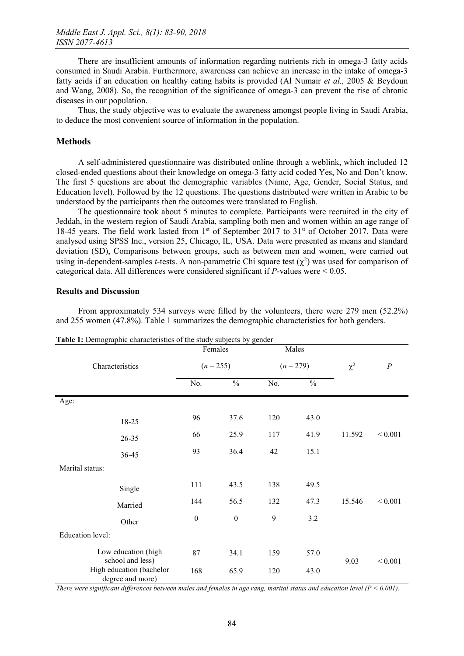There are insufficient amounts of information regarding nutrients rich in omega-3 fatty acids consumed in Saudi Arabia. Furthermore, awareness can achieve an increase in the intake of omega-3 fatty acids if an education on healthy eating habits is provided (Al Numair *et al.,* 2005 & Beydoun and Wang, 2008). So, the recognition of the significance of omega-3 can prevent the rise of chronic diseases in our population.

Thus, the study objective was to evaluate the awareness amongst people living in Saudi Arabia, to deduce the most convenient source of information in the population.

### **Methods**

A self-administered questionnaire was distributed online through a weblink, which included 12 closed-ended questions about their knowledge on omega-3 fatty acid coded Yes, No and Don't know. The first 5 questions are about the demographic variables (Name, Age, Gender, Social Status, and Education level). Followed by the 12 questions. The questions distributed were written in Arabic to be understood by the participants then the outcomes were translated to English.

The questionnaire took about 5 minutes to complete. Participants were recruited in the city of Jeddah, in the western region of Saudi Arabia, sampling both men and women within an age range of 18-45 years. The field work lasted from 1<sup>st</sup> of September 2017 to 31<sup>st</sup> of October 2017. Data were analysed using SPSS Inc., version 25, Chicago, IL, USA. Data were presented as means and standard deviation (SD), Comparisons between groups, such as between men and women, were carried out using in-dependent-samples *t*-tests. A non-parametric Chi square test  $(\chi^2)$  was used for comparison of categorical data. All differences were considered significant if *P*-values were < 0.05.

#### Results and Discussion

From approximately 534 surveys were filled by the volunteers, there were 279 men (52.2%) and 255 women (47.8%). Table 1 summarizes the demographic characteristics for both genders.

| Characteristics                              | Females<br>$(n = 255)$ |                  | Males<br>$(n = 279)$ |      | $\chi^2$ | $\boldsymbol{P}$ |
|----------------------------------------------|------------------------|------------------|----------------------|------|----------|------------------|
|                                              |                        |                  |                      |      |          |                  |
|                                              | Age:                   |                  |                      |      |          |                  |
| 18-25                                        | 96                     | 37.6             | 120                  | 43.0 |          |                  |
| 26-35                                        | 66                     | 25.9             | 117                  | 41.9 | 11.592   | ${}< 0.001$      |
| 36-45                                        | 93                     | 36.4             | 42                   | 15.1 |          |                  |
| Marital status:                              |                        |                  |                      |      |          |                  |
| Single                                       | 111                    | 43.5             | 138                  | 49.5 |          |                  |
| Married                                      | 144                    | 56.5             | 132                  | 47.3 | 15.546   | ${}< 0.001$      |
| Other                                        | $\boldsymbol{0}$       | $\boldsymbol{0}$ | 9                    | 3.2  |          |                  |
| Education level:                             |                        |                  |                      |      |          |                  |
| Low education (high<br>school and less)      | 87                     | 34.1             | 159                  | 57.0 | 9.03     | ${}< 0.001$      |
| High education (bachelor<br>degree and more) | 168                    | 65.9             | 120                  | 43.0 |          |                  |

Table 1: Demographic characteristics of the study subjects by gender

*There were significant differences between males and females in age rang, marital status and education level (P < 0.001).*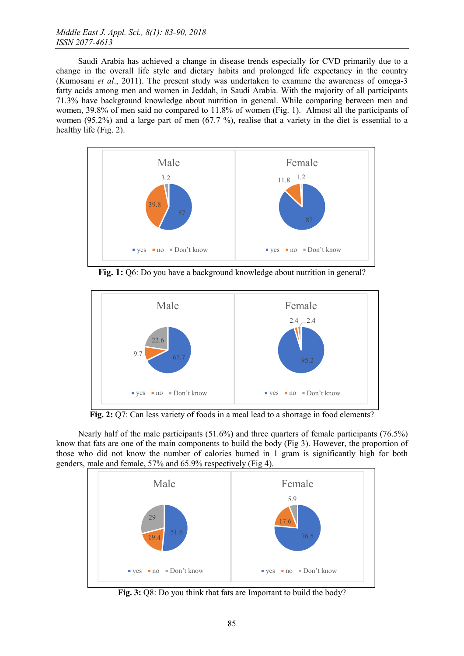Saudi Arabia has achieved a change in disease trends especially for CVD primarily due to a change in the overall life style and dietary habits and prolonged life expectancy in the country (Kumosani *et al*., 2011). The present study was undertaken to examine the awareness of omega-3 fatty acids among men and women in Jeddah, in Saudi Arabia. With the majority of all participants 71.3% have background knowledge about nutrition in general. While comparing between men and women, 39.8% of men said no compared to 11.8% of women (Fig. 1). Almost all the participants of women (95.2%) and a large part of men (67.7 %), realise that a variety in the diet is essential to a healthy life (Fig. 2).



Fig. 1: Q6: Do you have a background knowledge about nutrition in general?



Fig. 2: Q7: Can less variety of foods in a meal lead to a shortage in food elements?

Nearly half of the male participants (51.6%) and three quarters of female participants (76.5%) know that fats are one of the main components to build the body (Fig 3). However, the proportion of those who did not know the number of calories burned in 1 gram is significantly high for both genders, male and female, 57% and 65.9% respectively (Fig 4).



Fig. 3: Q8: Do you think that fats are Important to build the body?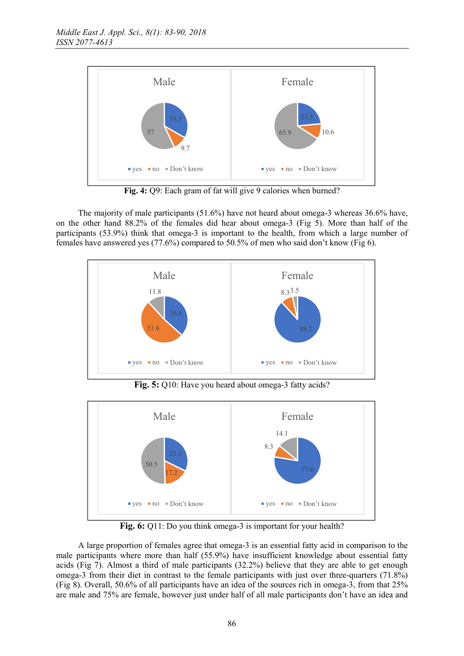

Fig. 4: Q9: Each gram of fat will give 9 calories when burned?

The majority of male participants (51.6%) have not heard about omega-3 whereas 36.6% have, on the other hand 88.2% of the females did hear about omega-3 (Fig 5). More than half of the participants (53.9%) think that omega-3 is important to the health, from which a large number of females have answered yes (77.6%) compared to 50.5% of men who said don't know (Fig 6).



Fig. 5: Q10: Have you heard about omega-3 fatty acids?



Fig. 6: Q11: Do you think omega-3 is important for your health?

A large proportion of females agree that omega-3 is an essential fatty acid in comparison to the male participants where more than half (55.9%) have insufficient knowledge about essential fatty acids (Fig 7). Almost a third of male participants (32.2%) believe that they are able to get enough omega-3 from their diet in contrast to the female participants with just over three-quarters (71.8%) (Fig 8). Overall, 50.6% of all participants have an idea of the sources rich in omega-3, from that 25% are male and 75% are female, however just under half of all male participants don't have an idea and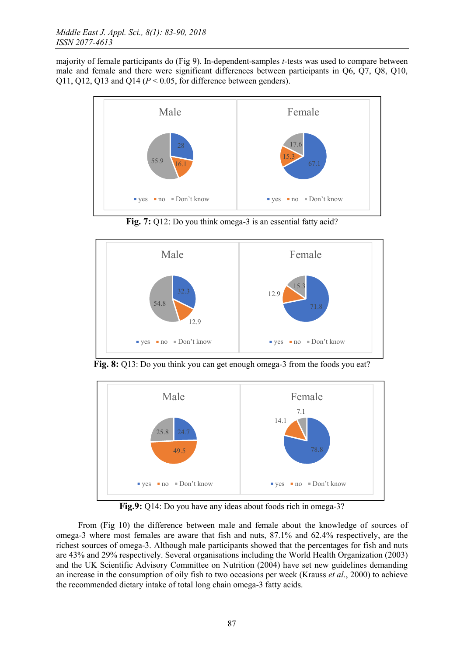majority of female participants do (Fig 9). In-dependent-samples *t-*tests was used to compare between male and female and there were significant differences between participants in Q6, Q7, Q8, Q10, Q11, Q12, Q13 and Q14 (*P* < 0.05, for difference between genders).



Fig. 7: Q12: Do you think omega-3 is an essential fatty acid?



Fig. 8: Q13: Do you think you can get enough omega-3 from the foods you eat?



Fig.9: Q14: Do you have any ideas about foods rich in omega-3?

From (Fig 10) the difference between male and female about the knowledge of sources of omega-3 where most females are aware that fish and nuts, 87.1% and 62.4% respectively, are the richest sources of omega-3. Although male participants showed that the percentages for fish and nuts are 43% and 29% respectively. Several organisations including the World Health Organization (2003) and the UK Scientific Advisory Committee on Nutrition (2004) have set new guidelines demanding an increase in the consumption of oily fish to two occasions per week (Krauss *et al*., 2000) to achieve the recommended dietary intake of total long chain omega-3 fatty acids.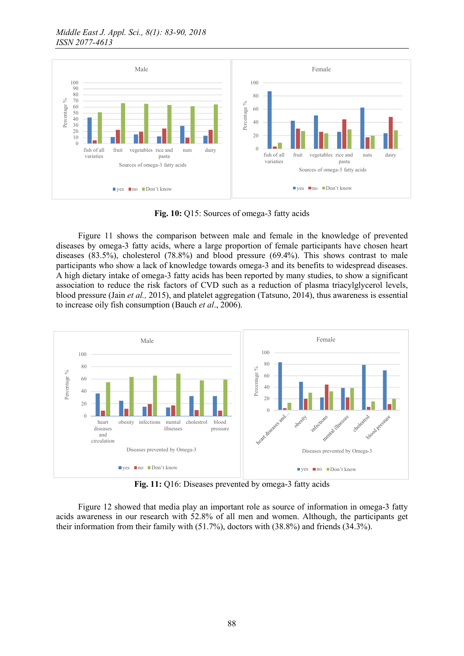

Fig. 10: Q15: Sources of omega-3 fatty acids

Figure 11 shows the comparison between male and female in the knowledge of prevented diseases by omega-3 fatty acids, where a large proportion of female participants have chosen heart diseases (83.5%), cholesterol (78.8%) and blood pressure (69.4%). This shows contrast to male participants who show a lack of knowledge towards omega-3 and its benefits to widespread diseases. A high dietary intake of omega-3 fatty acids has been reported by many studies, to show a significant association to reduce the risk factors of CVD such as a reduction of plasma triacylglycerol levels, blood pressure (Jain *et al.,* 2015), and platelet aggregation (Tatsuno, 2014), thus awareness is essential to increase oily fish consumption (Bauch *et al*., 2006).



Fig. 11: Q16: Diseases prevented by omega-3 fatty acids

Figure 12 showed that media play an important role as source of information in omega-3 fatty acids awareness in our research with 52.8% of all men and women. Although, the participants get their information from their family with (51.7%), doctors with (38.8%) and friends (34.3%).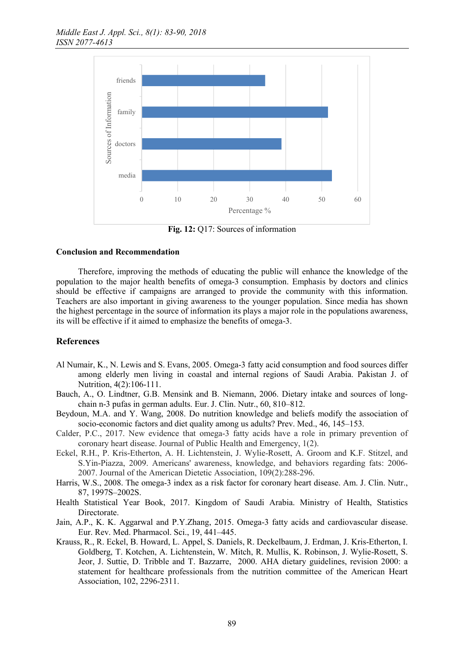

Fig. 12: Q17: Sources of information

# Conclusion and Recommendation

Therefore, improving the methods of educating the public will enhance the knowledge of the population to the major health benefits of omega-3 consumption. Emphasis by doctors and clinics should be effective if campaigns are arranged to provide the community with this information. Teachers are also important in giving awareness to the younger population. Since media has shown the highest percentage in the source of information its plays a major role in the populations awareness, its will be effective if it aimed to emphasize the benefits of omega-3.

# References

- Al Numair, K., N. Lewis and S. Evans, 2005. Omega-3 fatty acid consumption and food sources differ among elderly men living in coastal and internal regions of Saudi Arabia. Pakistan J. of Nutrition, 4(2):106-111.
- Bauch, A., O. Lindtner, G.B. Mensink and B. Niemann, 2006. Dietary intake and sources of longchain n-3 pufas in german adults. Eur. J. Clin. Nutr., 60, 810–812.
- Beydoun, M.A. and Y. Wang, 2008. Do nutrition knowledge and beliefs modify the association of socio-economic factors and diet quality among us adults? Prev. Med., 46, 145–153.
- Calder, P.C., 2017. New evidence that omega-3 fatty acids have a role in primary prevention of coronary heart disease. Journal of Public Health and Emergency, 1(2).
- Eckel, R.H., P. Kris-Etherton, A. H. Lichtenstein, J. Wylie-Rosett, A. Groom and K.F. Stitzel, and S.Yin-Piazza, 2009. Americans' awareness, knowledge, and behaviors regarding fats: 2006- 2007. Journal of the American Dietetic Association, 109(2):288-296.
- Harris, W.S., 2008. The omega-3 index as a risk factor for coronary heart disease. Am. J. Clin. Nutr., 87, 1997S–2002S.
- Health Statistical Year Book, 2017. Kingdom of Saudi Arabia. Ministry of Health, Statistics Directorate.
- Jain, A.P., K. K. Aggarwal and P.Y.Zhang, 2015. Omega-3 fatty acids and cardiovascular disease. Eur. Rev. Med. Pharmacol. Sci., 19, 441–445.
- Krauss, R., R. Eckel, B. Howard, L. Appel, S. Daniels, R. Deckelbaum, J. Erdman, J. Kris-Etherton, I. Goldberg, T. Kotchen, A. Lichtenstein, W. Mitch, R. Mullis, K. Robinson, J. Wylie-Rosett, S. Jeor, J. Suttie, D. Tribble and T. Bazzarre, 2000. AHA dietary guidelines, revision 2000: a statement for healthcare professionals from the nutrition committee of the American Heart Association, 102, 2296-2311.